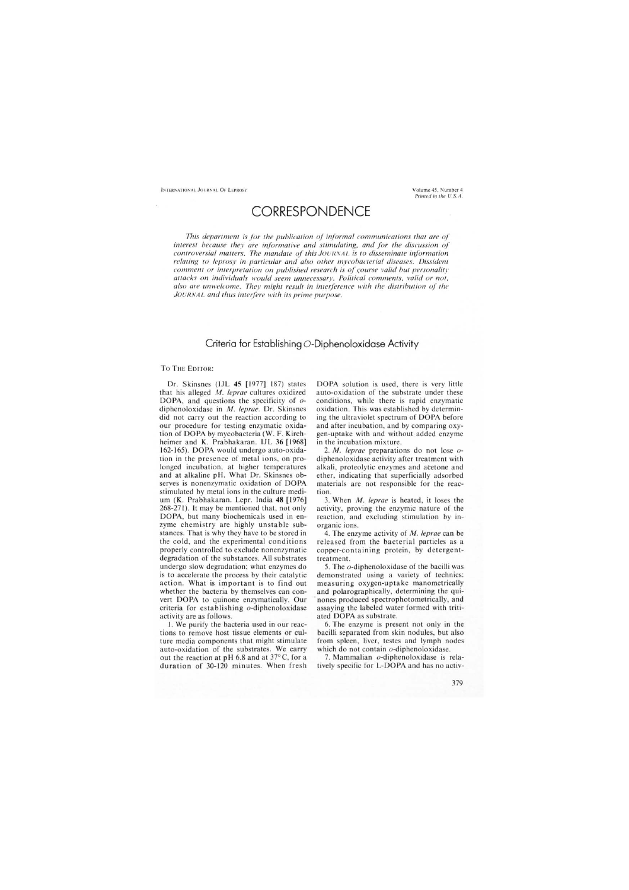## **CORRESPONDENCE**

This department is for the publication of informal communications that are of interest because they are informative and stimulating, and for the discussion of controversial matters. The mandate of this JOURNAL is to disseminate information relating to leprosy in particular and also other mycobacterial diseases. Dissident comment or interpretation on published research is of course valid but personality attacks on individuals would seem unnecessary. Political comments, valid or not, also are unwelcome. They might result in interference with the distribution of the JOURNAL and thus interfere with its prime purpose.

## Criteria for Establishing O-Diphenoloxidase Activity

## TO THE EDITOR:

Dr. Skinsnes (IJL 45 [1977] 187) states that his alleged M. leprae cultures oxidized DOPA, and questions the specificity of  $o$ diphenoloxidase in  $M$ . leprae. Dr. Skinsnes did not carry out the reaction according to our procedure for testing enzymatic oxidation of DOPA by mycobacteria (W. F. Kirchheimer and K. Prabhakaran. IJL 36 [1968] 162-165). DOPA would undergo auto-oxidation in the presence of metal ions, on prolonged incubation, at higher temperatures and at alkaline pH. What Dr. Skinsnes observes is nonenzymatic oxidation of DOPA stimulated by metal ions in the culture medium (K. Prabhakaran. Lepr. India 48 [1976] 268-271). It may be mentioned that, not only DOPA, but many biochemicals used in enzyme chemistry are highly unstable substances. That is why they have to be stored in the cold, and the experimental conditions properly controlled to exclude nonenzymatic degradation of the substances. All substrates undergo slow degradation; what enzymes do is to accelerate the process by their catalytic action. What is important is to find out whether the bacteria by themselves can convert DOPA to quinone enzymatically. Our criteria for establishing o-diphenoloxidase activity are as follows.

1. We purify the bacteria used in our reactions to remove host tissue elements or culture media components that might stimulate auto-oxidation of the substrates. We carry out the reaction at pH 6.8 and at 37°C, for a duration of 30-120 minutes. When fresh

DOPA solution is used, there is very little auto-oxidation of the substrate under these conditions, while there is rapid enzymatic oxidation. This was established by determining the ultraviolet spectrum of DOPA before and after incubation, and by comparing oxygen-uptake with and without added enzyme in the incubation mixture.

2. M. leprae preparations do not lose odiphenoloxidase activity after treatment with alkali, proteolytic enzymes and acetone and ether, indicating that superficially adsorbed materials are not responsible for the reaction.

3. When *M. leprae* is heated, it loses the activity, proving the enzymic nature of the reaction, and excluding stimulation by inorganic ions.

4. The enzyme activity of *M. leprae* can be released from the bacterial particles as a copper-containing protein, by detergenttreatment.

5. The *o*-diphenoloxidase of the bacilli was demonstrated using a variety of technics: measuring oxygen-uptake manometrically and polarographically, determining the quinones produced spectrophotometrically, and assaying the labeled water formed with tritiated DOPA as substrate.

6. The enzyme is present not only in the bacilli separated from skin nodules, but also from spleen, liver, testes and lymph nodes which do not contain o-diphenoloxidase.

7. Mammalian o-diphenoloxidase is relatively specific for L-DOPA and has no activ